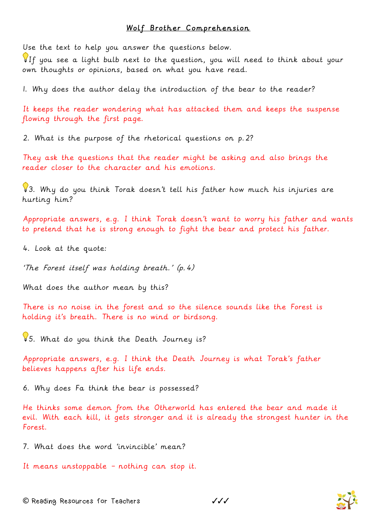## Wolf Brother Comprehension

Use the text to help you answer the questions below.

If you see a light bulb next to the question, you will need to think about your own thoughts or opinions, based on what you have read.

1. Why does the author delay the introduction of the bear to the reader?

It keeps the reader wondering what has attacked them and keeps the suspense flowing through the first page.

2. What is the purpose of the rhetorical questions on p.2?

They ask the questions that the reader might be asking and also brings the reader closer to the character and his emotions.

3. Why do you think Torak doesn't tell his father how much his injuries are hurting him?

Appropriate answers, e.g. I think Torak doesn't want to worry his father and wants to pretend that he is strong enough to fight the bear and protect his father.

4. Look at the quote:

'The Forest itself was holding breath.' (p.4)

What does the author mean by this?

There is no noise in the forest and so the silence sounds like the Forest is holding it's breath. There is no wind or birdsong.

5. What do you think the Death Journey is?

Appropriate answers, e.g. I think the Death Journey is what Torak's father believes happens after his life ends.

6. Why does Fa think the bear is possessed?

He thinks some demon from the Otherworld has entered the bear and made it evil. With each kill, it gets stronger and it is already the strongest hunter in the Forest.

7. What does the word 'invincible' mean?

It means unstoppable – nothing can stop it.